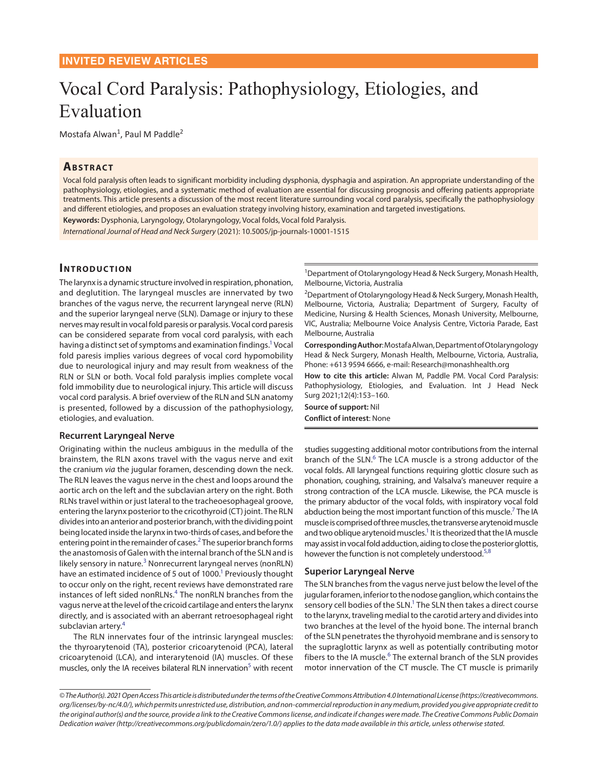# Vocal Cord Paralysis: Pathophysiology, Etiologies, and Evaluation

Mostafa Alwan<sup>1</sup>, Paul M Paddle<sup>2</sup>

# **ABSTRACT**

Vocal fold paralysis often leads to significant morbidity including dysphonia, dysphagia and aspiration. An appropriate understanding of the pathophysiology, etiologies, and a systematic method of evaluation are essential for discussing prognosis and offering patients appropriate treatments. This article presents a discussion of the most recent literature surrounding vocal cord paralysis, specifically the pathophysiology and different etiologies, and proposes an evaluation strategy involving history, examination and targeted investigations.

**Keywords:** Dysphonia, Laryngology, Otolaryngology, Vocal folds, Vocal fold Paralysis.

*International Journal of Head and Neck Surgery* (2021): 10.5005/jp-journals-10001-1515

# **INTRODUCTION**

The larynx is a dynamic structure involved in respiration, phonation, and deglutition. The laryngeal muscles are innervated by two branches of the vagus nerve, the recurrent laryngeal nerve (RLN) and the superior laryngeal nerve (SLN). Damage or injury to these nerves may result in vocal fold paresis or paralysis. Vocal cord paresis can be considered separate from vocal cord paralysis, with each having a distinct set of symptoms and examination findings.<sup>1</sup> Vocal fold paresis implies various degrees of vocal cord hypomobility due to neurological injury and may result from weakness of the RLN or SLN or both. Vocal fold paralysis implies complete vocal fold immobility due to neurological injury. This article will discuss vocal cord paralysis. A brief overview of the RLN and SLN anatomy is presented, followed by a discussion of the pathophysiology, etiologies, and evaluation.

## **Recurrent Laryngeal Nerve**

Originating within the nucleus ambiguus in the medulla of the brainstem, the RLN axons travel with the vagus nerve and exit the cranium *via* the jugular foramen, descending down the neck. The RLN leaves the vagus nerve in the chest and loops around the aortic arch on the left and the subclavian artery on the right. Both RLNs travel within or just lateral to the tracheoesophageal groove, entering the larynx posterior to the cricothyroid (CT) joint. The RLN divides into an anterior and posterior branch, with the dividing point being located inside the larynx in two-thirds of cases, and before the entering point in the remainder of cases.<sup>[2](#page-5-5)</sup> The superior branch forms the anastomosis of Galen with the internal branch of the SLN and is likely sensory in nature.<sup>[3](#page-5-6)</sup> Nonrecurrent laryngeal nerves (nonRLN) have an estimated incidence of 5 out of 1000.<sup>1</sup> Previously thought to occur only on the right, recent reviews have demonstrated rare instances of left sided nonRLNs.<sup>[4](#page-5-7)</sup> The nonRLN branches from the vagus nerve at the level of the cricoid cartilage and enters the larynx directly, and is associated with an aberrant retroesophageal right subclavian artery.<sup>[4](#page-5-7)</sup>

The RLN innervates four of the intrinsic laryngeal muscles: the thyroarytenoid (TA), posterior cricoarytenoid (PCA), lateral cricoarytenoid (LCA), and interarytenoid (IA) muscles. Of these muscles, only the IA receives bilateral RLN innervation<sup>5</sup> with recent

1 Department of Otolaryngology Head & Neck Surgery, Monash Health, Melbourne, Victoria, Australia

<sup>2</sup>Department of Otolaryngology Head & Neck Surgery, Monash Health, Melbourne, Victoria, Australia; Department of Surgery, Faculty of Medicine, Nursing & Health Sciences, Monash University, Melbourne, VIC, Australia; Melbourne Voice Analysis Centre, Victoria Parade, East Melbourne, Australia

<span id="page-0-0"></span>**Corresponding Author**: Mostafa Alwan, Department of Otolaryngology Head & Neck Surgery, Monash Health, Melbourne, Victoria, Australia, Phone: +613 9594 6666, e-mail: Research@monashhealth.org

**How to cite this article:** Alwan M, Paddle PM. Vocal Cord Paralysis: Pathophysiology, Etiologies, and Evaluation. Int J Head Neck Surg 2021;12(4):153–160.

**Source of support:** Nil **Conflict of interest**: None

<span id="page-0-6"></span><span id="page-0-5"></span>studies suggesting additional motor contributions from the internal branch of the SLN.<sup>[6](#page-5-0)</sup> The LCA muscle is a strong adductor of the vocal folds. All laryngeal functions requiring glottic closure such as phonation, coughing, straining, and Valsalva's maneuver require a strong contraction of the LCA muscle. Likewise, the PCA muscle is the primary abductor of the vocal folds, with inspiratory vocal fold abduction being the most important function of this muscle.<sup>7</sup> The IA muscle is comprised of three muscles, the transverse arytenoid muscle and two oblique arytenoid muscles.<sup>1</sup> It is theorized that the IA muscle may assist in vocal fold adduction, aiding to close the posterior glottis, however the function is not completely understood.<sup>[5](#page-5-3),[8](#page-5-4)</sup>

## <span id="page-0-7"></span><span id="page-0-2"></span><span id="page-0-1"></span>**Superior Laryngeal Nerve**

<span id="page-0-4"></span><span id="page-0-3"></span>The SLN branches from the vagus nerve just below the level of the jugular foramen, inferior to the nodose ganglion, which contains the sensory cell bodies of the SLN.<sup>1</sup> The SLN then takes a direct course to the larynx, traveling medial to the carotid artery and divides into two branches at the level of the hyoid bone. The internal branch of the SLN penetrates the thyrohyoid membrane and is sensory to the supraglottic larynx as well as potentially contributing motor fibers to the IA muscle.<sup>[6](#page-5-0)</sup> The external branch of the SLN provides motor innervation of the CT muscle. The CT muscle is primarily

*<sup>©</sup> The Author(s). 2021 Open Access This article is distributed under the terms of the Creative Commons Attribution 4.0 International License (https://creativecommons. org/licenses/by-nc/4.0/), which permits unrestricted use, distribution, and non-commercial reproduction in any medium, provided you give appropriate credit to the original author(s) and the source, provide a link to the Creative Commons license, and indicate if changes were made. The Creative Commons Public Domain Dedication waiver (http://creativecommons.org/publicdomain/zero/1.0/) applies to the data made available in this article, unless otherwise stated.*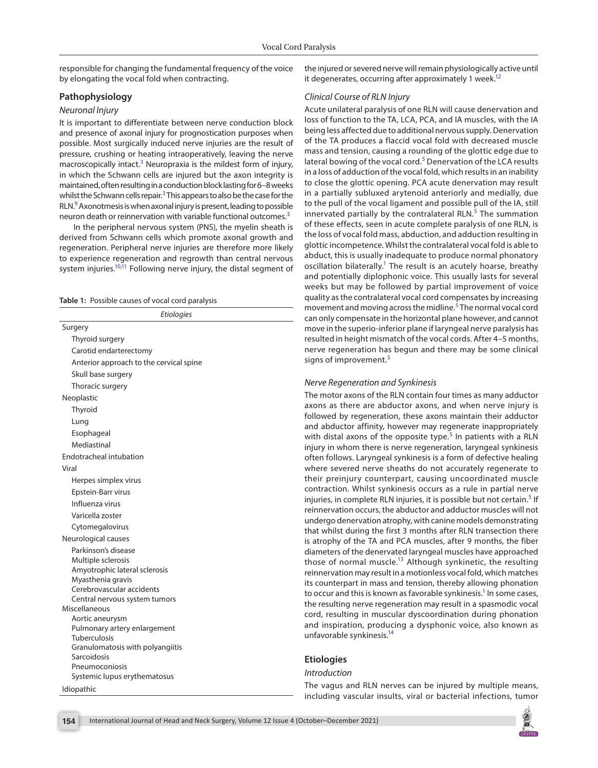responsible for changing the fundamental frequency of the voice by elongating the vocal fold when contracting.

## **Pathophysiology**

#### *Neuronal Injury*

It is important to differentiate between nerve conduction block and presence of axonal injury for prognostication purposes when possible. Most surgically induced nerve injuries are the result of pressure, crushing or heating intraoperatively, leaving the nerve macroscopically intact.<sup>[3](#page-5-6)</sup> Neuropraxia is the mildest form of injury, in which the Schwann cells are injured but the axon integrity is maintained, often resulting in a conduction block lasting for 6–8 weeks whilst the Schwann cells repair.<sup>[3](#page-5-6)</sup> This appears to also be the case for the RLN.<sup>[9](#page-5-11)</sup> Axonotmesis is when axonal injury is present, leading to possible neuron death or reinnervation with variable functional outcomes.<sup>[3](#page-5-6)</sup>

<span id="page-1-1"></span>In the peripheral nervous system (PNS), the myelin sheath is derived from Schwann cells which promote axonal growth and regeneration. Peripheral nerve injuries are therefore more likely to experience regeneration and regrowth than central nervous system injuries.<sup>10,11</sup> Following nerve injury, the distal segment of

<span id="page-1-3"></span><span id="page-1-2"></span><span id="page-1-0"></span>

|  |  |  | <b>Table 1:</b> Possible causes of vocal cord paralysis |  |  |  |  |
|--|--|--|---------------------------------------------------------|--|--|--|--|
|--|--|--|---------------------------------------------------------|--|--|--|--|

| Etiologies                                          |
|-----------------------------------------------------|
| Surgery                                             |
| Thyroid surgery                                     |
| Carotid endarterectomy                              |
| Anterior approach to the cervical spine             |
| Skull base surgery                                  |
| Thoracic surgery                                    |
| Neoplastic                                          |
| Thyroid                                             |
| Lung                                                |
| Esophageal                                          |
| Mediastinal                                         |
| Endotracheal intubation                             |
| Viral                                               |
| Herpes simplex virus                                |
| Epstein-Barr virus                                  |
| Influenza virus                                     |
| Varicella zoster                                    |
| Cytomegalovirus                                     |
| Neurological causes                                 |
| Parkinson's disease                                 |
| Multiple sclerosis                                  |
| Amyotrophic lateral sclerosis<br>Myasthenia gravis  |
| Cerebrovascular accidents                           |
| Central nervous system tumors                       |
| Miscellaneous                                       |
| Aortic aneurysm                                     |
| Pulmonary artery enlargement<br><b>Tuberculosis</b> |
| Granulomatosis with polyangiitis                    |
| Sarcoidosis                                         |
| Pneumoconiosis                                      |
| Systemic lupus erythematosus                        |
| Idiopathic                                          |

<span id="page-1-4"></span>the injured or severed nerve will remain physiologically active until it degenerates, occurring after approximately 1 week.<sup>12</sup>

#### *Clinical Course of RLN Injury*

Acute unilateral paralysis of one RLN will cause denervation and loss of function to the TA, LCA, PCA, and IA muscles, with the IA being less affected due to additional nervous supply. Denervation of the TA produces a flaccid vocal fold with decreased muscle mass and tension, causing a rounding of the glottic edge due to lateral bowing of the vocal cord.<sup>[5](#page-5-3)</sup> Denervation of the LCA results in a loss of adduction of the vocal fold, which results in an inability to close the glottic opening. PCA acute denervation may result in a partially subluxed arytenoid anteriorly and medially, due to the pull of the vocal ligament and possible pull of the IA, still innervated partially by the contralateral RLN.<sup>[5](#page-5-3)</sup> The summation of these effects, seen in acute complete paralysis of one RLN, is the loss of vocal fold mass, abduction, and adduction resulting in glottic incompetence. Whilst the contralateral vocal fold is able to abduct, this is usually inadequate to produce normal phonatory oscillation bilaterally.<sup>1</sup> The result is an acutely hoarse, breathy and potentially diplophonic voice. This usually lasts for several weeks but may be followed by partial improvement of voice quality as the contralateral vocal cord compensates by increasing movement and moving across the midline.<sup>[5](#page-5-3)</sup> The normal vocal cord can only compensate in the horizontal plane however, and cannot move in the superio-inferior plane if laryngeal nerve paralysis has resulted in height mismatch of the vocal cords. After 4–5 months, nerve regeneration has begun and there may be some clinical signs of improvement.<sup>[5](#page-5-3)</sup>

#### *Nerve Regeneration and Synkinesis*

The motor axons of the RLN contain four times as many adductor axons as there are abductor axons, and when nerve injury is followed by regeneration, these axons maintain their adductor and abductor affinity, however may regenerate inappropriately with distal axons of the opposite type.<sup>[5](#page-5-3)</sup> In patients with a RLN injury in whom there is nerve regeneration, laryngeal synkinesis often follows. Laryngeal synkinesis is a form of defective healing where severed nerve sheaths do not accurately regenerate to their preinjury counterpart, causing uncoordinated muscle contraction. Whilst synkinesis occurs as a rule in partial nerve injuries, in complete RLN injuries, it is possible but not certain.<sup>[5](#page-5-3)</sup> If reinnervation occurs, the abductor and adductor muscles will not undergo denervation atrophy, with canine models demonstrating that whilst during the first 3 months after RLN transection there is atrophy of the TA and PCA muscles, after 9 months, the fiber diameters of the denervated laryngeal muscles have approached those of normal muscle.<sup>[13](#page-5-9)</sup> Although synkinetic, the resulting reinnervation may result in a motionless vocal fold, which matches its counterpart in mass and tension, thereby allowing phonation to occur and this is known as favorable synkinesis.<sup>1</sup> In some cases, the resulting nerve regeneration may result in a spasmodic vocal cord, resulting in muscular dyscoordination during phonation and inspiration, producing a dysphonic voice, also known as unfavorable synkinesis.<sup>14</sup>

# **Etiologies**

## *Introduction*

The vagus and RLN nerves can be injured by multiple means, including vascular insults, viral or bacterial infections, tumor

<span id="page-1-6"></span><span id="page-1-5"></span>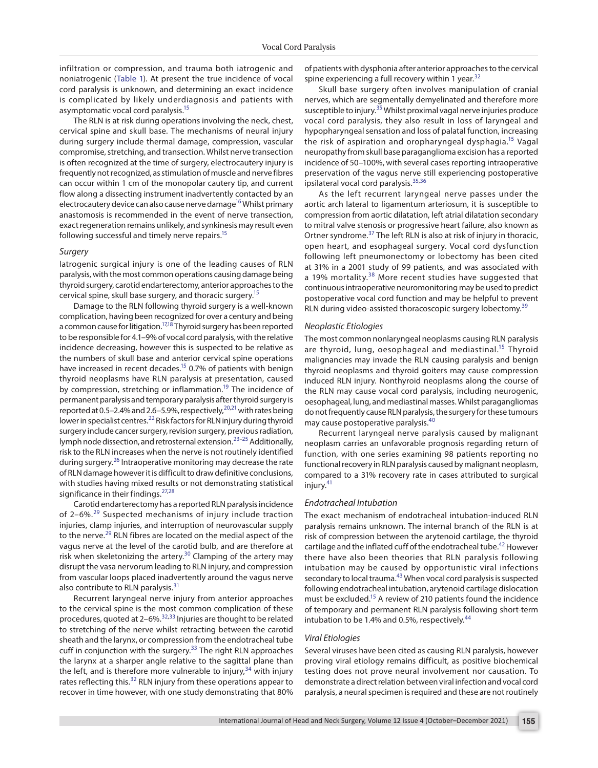<span id="page-2-0"></span>infiltration or compression, and trauma both iatrogenic and noniatrogenic ([Table 1\)](#page-1-0). At present the true incidence of vocal cord paralysis is unknown, and determining an exact incidence is complicated by likely underdiagnosis and patients with asymptomatic vocal cord paralysis[.15](#page-5-14)

The RLN is at risk during operations involving the neck, chest, cervical spine and skull base. The mechanisms of neural injury during surgery include thermal damage, compression, vascular compromise, stretching, and transection. Whilst nerve transection is often recognized at the time of surgery, electrocautery injury is frequently not recognized, as stimulation of muscle and nerve fibres can occur within 1 cm of the monopolar cautery tip, and current flow along a dissecting instrument inadvertently contacted by an electrocautery device can also cause nerve damage<sup>16</sup> Whilst primary anastomosis is recommended in the event of nerve transection, exact regeneration remains unlikely, and synkinesis may result even following successful and timely nerve repairs[.15](#page-5-14)

## *Surgery*

Iatrogenic surgical injury is one of the leading causes of RLN paralysis, with the most common operations causing damage being thyroid surgery, carotid endarterectomy, anterior approaches to the cervical spine, skull base surgery, and thoracic surgery[.15](#page-5-14)

Damage to the RLN following thyroid surgery is a well-known complication, having been recognized for over a century and being a common cause for litigation.<sup>17[,18](#page-5-17)</sup> Thyroid surgery has been reported to be responsible for 4.1–9% of vocal cord paralysis, with the relative incidence decreasing, however this is suspected to be relative as the numbers of skull base and anterior cervical spine operations have increased in recent decades.<sup>15</sup> 0.7% of patients with benign thyroid neoplasms have RLN paralysis at presentation, caused by compression, stretching or inflammation.<sup>19</sup> The incidence of permanent paralysis and temporary paralysis after thyroid surgery is reported at 0.5–2.4% and 2.6–5.9%, respectively, $^{20,21}$  $^{20,21}$  $^{20,21}$  $^{20,21}$  with rates being lower in specialist centres.<sup>22</sup> Risk factors for RLN injury during thyroid surgery include cancer surgery, revision surgery, previous radiation, lymph node dissection, and retrosternal extension.<sup>[23](#page-6-14)-25</sup> Additionally, risk to the RLN increases when the nerve is not routinely identified during surgery.<sup>26</sup> Intraoperative monitoring may decrease the rate of RLN damage however it is difficult to draw definitive conclusions, with studies having mixed results or not demonstrating statistical significance in their findings.<sup>[27,](#page-6-17)[28](#page-6-18)</sup>

<span id="page-2-19"></span><span id="page-2-16"></span>Carotid endarterectomy has a reported RLN paralysis incidence of 2-6%.<sup>[29](#page-6-19)</sup> Suspected mechanisms of injury include traction injuries, clamp injuries, and interruption of neurovascular supply to the nerve.<sup>[29](#page-6-19)</sup> RLN fibres are located on the medial aspect of the vagus nerve at the level of the carotid bulb, and are therefore at risk when skeletonizing the artery. $30$  Clamping of the artery may disrupt the vasa nervorum leading to RLN injury, and compression from vascular loops placed inadvertently around the vagus nerve also contribute to RLN paralysis.<sup>[31](#page-6-21)</sup>

Recurrent laryngeal nerve injury from anterior approaches to the cervical spine is the most common complication of these procedures, quoted at 2–6%.[32,](#page-6-0)[33](#page-6-22) Injuries are thought to be related to stretching of the nerve whilst retracting between the carotid sheath and the larynx, or compression from the endotracheal tube cuff in conjunction with the surgery.<sup>33</sup> The right RLN approaches the larynx at a sharper angle relative to the sagittal plane than the left, and is therefore more vulnerable to injury,  $34$  with injury rates reflecting this.<sup>32</sup> RLN injury from these operations appear to recover in time however, with one study demonstrating that 80%

of patients with dysphonia after anterior approaches to the cervical spine experiencing a full recovery within 1 year. $32$ 

<span id="page-2-25"></span><span id="page-2-1"></span>Skull base surgery often involves manipulation of cranial nerves, which are segmentally demyelinated and therefore more susceptible to injury.<sup>35</sup> Whilst proximal vagal nerve injuries produce vocal cord paralysis, they also result in loss of laryngeal and hypopharyngeal sensation and loss of palatal function, increasing the risk of aspiration and oropharyngeal dysphagia.<sup>15</sup> Vagal neuropathy from skull base paraganglioma excision has a reported incidence of 50–100%, with several cases reporting intraoperative preservation of the vagus nerve still experiencing postoperative ipsilateral vocal cord paralysis.[35,](#page-6-1)[36](#page-6-2)

<span id="page-2-27"></span><span id="page-2-26"></span><span id="page-2-2"></span>As the left recurrent laryngeal nerve passes under the aortic arch lateral to ligamentum arteriosum, it is susceptible to compression from aortic dilatation, left atrial dilatation secondary to mitral valve stenosis or progressive heart failure, also known as Ortner syndrome.<sup>[37](#page-6-3)</sup> The left RLN is also at risk of injury in thoracic, open heart, and esophageal surgery. Vocal cord dysfunction following left pneumonectomy or lobectomy has been cited at 31% in a 2001 study of 99 patients, and was associated with a 19% mortality.<sup>38</sup> More recent studies have suggested that continuous intraoperative neuromonitoring may be used to predict postoperative vocal cord function and may be helpful to prevent RLN during video-assisted thoracoscopic surgery lobectomy.<sup>[39](#page-6-5)</sup>

#### <span id="page-2-29"></span><span id="page-2-28"></span><span id="page-2-4"></span><span id="page-2-3"></span>*Neoplastic Etiologies*

The most common nonlaryngeal neoplasms causing RLN paralysis are thyroid, lung, oesophageal and mediastinal.<sup>15</sup> Thyroid malignancies may invade the RLN causing paralysis and benign thyroid neoplasms and thyroid goiters may cause compression induced RLN injury. Nonthyroid neoplasms along the course of the RLN may cause vocal cord paralysis, including neurogenic, oesophageal, lung, and mediastinal masses. Whilst paragangliomas do not frequently cause RLN paralysis, the surgery for these tumours may cause postoperative paralysis.[40](#page-6-6)

<span id="page-2-15"></span><span id="page-2-14"></span><span id="page-2-13"></span><span id="page-2-12"></span><span id="page-2-11"></span><span id="page-2-6"></span><span id="page-2-5"></span>Recurrent laryngeal nerve paralysis caused by malignant neoplasm carries an unfavorable prognosis regarding return of function, with one series examining 98 patients reporting no functional recovery in RLN paralysis caused by malignant neoplasm, compared to a 31% recovery rate in cases attributed to surgical injury.<sup>[41](#page-6-7)</sup>

#### <span id="page-2-18"></span><span id="page-2-17"></span><span id="page-2-7"></span>*Endotracheal Intubation*

<span id="page-2-20"></span><span id="page-2-8"></span>The exact mechanism of endotracheal intubation-induced RLN paralysis remains unknown. The internal branch of the RLN is at risk of compression between the arytenoid cartilage, the thyroid cartilage and the inflated cuff of the endotracheal tube.<sup>[42](#page-6-8)</sup> However there have also been theories that RLN paralysis following intubation may be caused by opportunistic viral infections secondary to local trauma.<sup>43</sup> When vocal cord paralysis is suspected following endotracheal intubation, arytenoid cartilage dislocation must be excluded.<sup>15</sup> A review of 210 patients found the incidence of temporary and permanent RLN paralysis following short-term intubation to be 1.4% and 0.5%, respectively. $44$ 

#### <span id="page-2-23"></span><span id="page-2-22"></span><span id="page-2-21"></span><span id="page-2-10"></span><span id="page-2-9"></span>*Viral Etiologies*

<span id="page-2-24"></span>Several viruses have been cited as causing RLN paralysis, however proving viral etiology remains difficult, as positive biochemical testing does not prove neural involvement nor causation. To demonstrate a direct relation between viral infection and vocal cord paralysis, a neural specimen is required and these are not routinely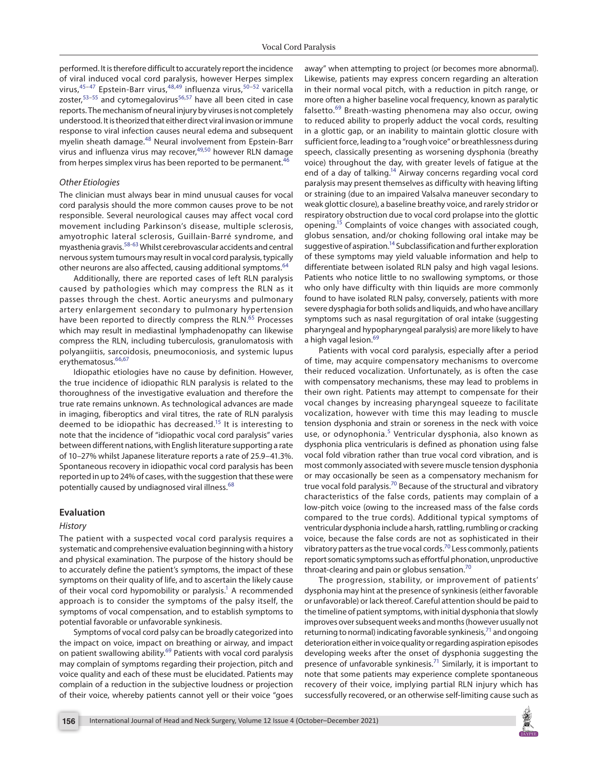<span id="page-3-8"></span><span id="page-3-7"></span><span id="page-3-2"></span><span id="page-3-0"></span>performed. It is therefore difficult to accurately report the incidence of viral induced vocal cord paralysis, however Herpes simplex virus, <sup>45-47</sup> Epstein-Barr virus, <sup>[48,](#page-6-26)49</sup> influenza virus, <sup>[50](#page-6-28)-52</sup> varicella zoster,<sup>[53–](#page-6-30)[55](#page-6-31)</sup> and cytomegalovirus<sup>[56](#page-6-32),[57](#page-6-33)</sup> have all been cited in case reports. The mechanism of neural injury by viruses is not completely understood. It is theorized that either direct viral invasion or immune response to viral infection causes neural edema and subsequent myelin sheath damage.[48](#page-6-26) Neural involvement from Epstein-Barr virus and influenza virus may recover,[49,](#page-6-27)[50](#page-6-28) however RLN damage from herpes simplex virus has been reported to be permanent.<sup>[46](#page-6-34)</sup>

## *Other Etiologies*

The clinician must always bear in mind unusual causes for vocal cord paralysis should the more common causes prove to be not responsible. Several neurological causes may affect vocal cord movement including Parkinson's disease, multiple sclerosis, amyotrophic lateral sclerosis, Guillain-Barré syndrome, and myasthenia gravis.[58](#page-6-35)[-63](#page-7-3) Whilst cerebrovascular accidents and central nervous system tumours may result in vocal cord paralysis, typically other neurons are also affected, causing additional symptoms.<sup>[64](#page-7-4)</sup>

<span id="page-3-11"></span>Additionally, there are reported cases of left RLN paralysis caused by pathologies which may compress the RLN as it passes through the chest. Aortic aneurysms and pulmonary artery enlargement secondary to pulmonary hypertension have been reported to directly compress the RLN.<sup>[65](#page-7-5)</sup> Processes which may result in mediastinal lymphadenopathy can likewise compress the RLN, including tuberculosis, granulomatosis with polyangiitis, sarcoidosis, pneumoconiosis, and systemic lupus erythematosus.<sup>[66](#page-7-6)[,67](#page-7-7)</sup>

<span id="page-3-15"></span>Idiopathic etiologies have no cause by definition. However, the true incidence of idiopathic RLN paralysis is related to the thoroughness of the investigative evaluation and therefore the true rate remains unknown. As technological advances are made in imaging, fiberoptics and viral titres, the rate of RLN paralysis deemed to be idiopathic has decreased.<sup>15</sup> It is interesting to note that the incidence of "idiopathic vocal cord paralysis" varies between different nations, with English literature supporting a rate of 10–27% whilst Japanese literature reports a rate of 25.9–41.3%. Spontaneous recovery in idiopathic vocal cord paralysis has been reported in up to 24% of cases, with the suggestion that these were potentially caused by undiagnosed viral illness.<sup>[68](#page-7-8)</sup>

## **Evaluation**

#### *History*

The patient with a suspected vocal cord paralysis requires a systematic and comprehensive evaluation beginning with a history and physical examination. The purpose of the history should be to accurately define the patient's symptoms, the impact of these symptoms on their quality of life, and to ascertain the likely cause of their vocal cord hypomobility or paralysis.<sup>1</sup> A recommended approach is to consider the symptoms of the palsy itself, the symptoms of vocal compensation, and to establish symptoms to potential favorable or unfavorable synkinesis.

Symptoms of vocal cord palsy can be broadly categorized into the impact on voice, impact on breathing or airway, and impact on patient swallowing ability.<sup>69</sup> Patients with vocal cord paralysis may complain of symptoms regarding their projection, pitch and voice quality and each of these must be elucidated. Patients may complain of a reduction in the subjective loudness or projection of their voice, whereby patients cannot yell or their voice "goes <span id="page-3-10"></span><span id="page-3-9"></span><span id="page-3-6"></span><span id="page-3-5"></span><span id="page-3-4"></span><span id="page-3-3"></span><span id="page-3-1"></span>away" when attempting to project (or becomes more abnormal). Likewise, patients may express concern regarding an alteration in their normal vocal pitch, with a reduction in pitch range, or more often a higher baseline vocal frequency, known as paralytic falsetto.[69](#page-7-0) Breath-wasting phenomena may also occur, owing to reduced ability to properly adduct the vocal cords, resulting in a glottic gap, or an inability to maintain glottic closure with sufficient force, leading to a "rough voice" or breathlessness during speech, classically presenting as worsening dysphonia (breathy voice) throughout the day, with greater levels of fatigue at the end of a day of talking.<sup>14</sup> Airway concerns regarding vocal cord paralysis may present themselves as difficulty with heaving lifting or straining (due to an impaired Valsalva maneuver secondary to weak glottic closure), a baseline breathy voice, and rarely stridor or respiratory obstruction due to vocal cord prolapse into the glottic opening.<sup>15</sup> Complaints of voice changes with associated cough, globus sensation, and/or choking following oral intake may be suggestive of aspiration.<sup>14</sup> Subclassification and further exploration of these symptoms may yield valuable information and help to differentiate between isolated RLN palsy and high vagal lesions. Patients who notice little to no swallowing symptoms, or those who only have difficulty with thin liquids are more commonly found to have isolated RLN palsy, conversely, patients with more severe dysphagia for both solids and liquids, and who have ancillary symptoms such as nasal regurgitation of oral intake (suggesting pharyngeal and hypopharyngeal paralysis) are more likely to have a high vagal lesion.<sup>[69](#page-7-0)</sup>

<span id="page-3-16"></span><span id="page-3-14"></span><span id="page-3-13"></span><span id="page-3-12"></span>Patients with vocal cord paralysis, especially after a period of time, may acquire compensatory mechanisms to overcome their reduced vocalization. Unfortunately, as is often the case with compensatory mechanisms, these may lead to problems in their own right. Patients may attempt to compensate for their vocal changes by increasing pharyngeal squeeze to facilitate vocalization, however with time this may leading to muscle tension dysphonia and strain or soreness in the neck with voice use, or odynophonia.<sup>[5](#page-5-3)</sup> Ventricular dysphonia, also known as dysphonia plica ventricularis is defined as phonation using false vocal fold vibration rather than true vocal cord vibration, and is most commonly associated with severe muscle tension dysphonia or may occasionally be seen as a compensatory mechanism for true vocal fold paralysis.<sup>70</sup> Because of the structural and vibratory characteristics of the false cords, patients may complain of a low-pitch voice (owing to the increased mass of the false cords compared to the true cords). Additional typical symptoms of ventricular dysphonia include a harsh, rattling, rumbling or cracking voice, because the false cords are not as sophisticated in their vibratory patters as the true vocal cords.<sup>[70](#page-7-1)</sup> Less commonly, patients report somatic symptoms such as effortful phonation, unproductive throat-clearing and pain or globus sensation. $70$ 

<span id="page-3-20"></span><span id="page-3-19"></span><span id="page-3-18"></span><span id="page-3-17"></span>The progression, stability, or improvement of patients' dysphonia may hint at the presence of synkinesis (either favorable or unfavorable) or lack thereof. Careful attention should be paid to the timeline of patient symptoms, with initial dysphonia that slowly improves over subsequent weeks and months (however usually not returning to normal) indicating favorable synkinesis, $71$  and ongoing deterioration either in voice quality or regarding aspiration episodes developing weeks after the onset of dysphonia suggesting the presence of unfavorable synkinesis.<sup>71</sup> Similarly, it is important to note that some patients may experience complete spontaneous recovery of their voice, implying partial RLN injury which has successfully recovered, or an otherwise self-limiting cause such as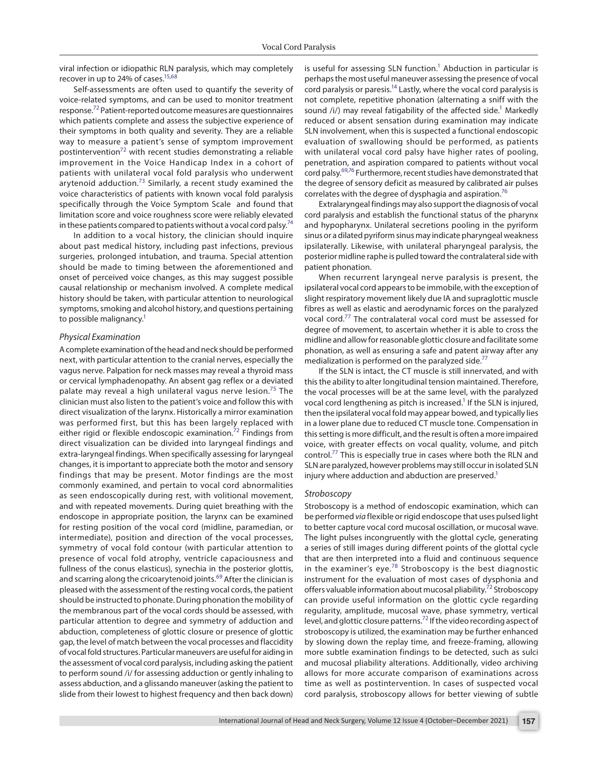viral infection or idiopathic RLN paralysis, which may completely recover in up to 24% of cases.<sup>15,[68](#page-7-8)</sup>

<span id="page-4-5"></span>Self-assessments are often used to quantify the severity of voice-related symptoms, and can be used to monitor treatment response[.72](#page-7-12) Patient-reported outcome measures are questionnaires which patients complete and assess the subjective experience of their symptoms in both quality and severity. They are a reliable way to measure a patient's sense of symptom improvement postintervention $72$  with recent studies demonstrating a reliable improvement in the Voice Handicap Index in a cohort of patients with unilateral vocal fold paralysis who underwent arytenoid adduction. $73$  Similarly, a recent study examined the voice characteristics of patients with known vocal fold paralysis specifically through the Voice Symptom Scale and found that limitation score and voice roughness score were reliably elevated in these patients compared to patients without a vocal cord palsy.<sup>74</sup>

In addition to a vocal history, the clinician should inquire about past medical history, including past infections, previous surgeries, prolonged intubation, and trauma. Special attention should be made to timing between the aforementioned and onset of perceived voice changes, as this may suggest possible causal relationship or mechanism involved. A complete medical history should be taken, with particular attention to neurological symptoms, smoking and alcohol history, and questions pertaining to possible malignancy.<sup>1</sup>

## *Physical Examination*

A complete examination of the head and neck should be performed next, with particular attention to the cranial nerves, especially the vagus nerve. Palpation for neck masses may reveal a thyroid mass or cervical lymphadenopathy. An absent gag reflex or a deviated palate may reveal a high unilateral vagus nerve lesion.<sup>75</sup> The clinician must also listen to the patient's voice and follow this with direct visualization of the larynx. Historically a mirror examination was performed first, but this has been largely replaced with either rigid or flexible endoscopic examination.<sup>[72](#page-7-12)</sup> Findings from direct visualization can be divided into laryngeal findings and extra-laryngeal findings. When specifically assessing for laryngeal changes, it is important to appreciate both the motor and sensory findings that may be present. Motor findings are the most commonly examined, and pertain to vocal cord abnormalities as seen endoscopically during rest, with volitional movement, and with repeated movements. During quiet breathing with the endoscope in appropriate position, the larynx can be examined for resting position of the vocal cord (midline, paramedian, or intermediate), position and direction of the vocal processes, symmetry of vocal fold contour (with particular attention to presence of vocal fold atrophy, ventricle capaciousness and fullness of the conus elasticus), synechia in the posterior glottis, and scarring along the cricoarytenoid joints.<sup>[69](#page-7-0)</sup> After the clinician is pleased with the assessment of the resting vocal cords, the patient should be instructed to phonate. During phonation the mobility of the membranous part of the vocal cords should be assessed, with particular attention to degree and symmetry of adduction and abduction, completeness of glottic closure or presence of glottic gap, the level of match between the vocal processes and flaccidity of vocal fold structures. Particular maneuvers are useful for aiding in the assessment of vocal cord paralysis, including asking the patient to perform sound /i/ for assessing adduction or gently inhaling to assess abduction, and a glissando maneuver (asking the patient to slide from their lowest to highest frequency and then back down)

is useful for assessing SLN function.<sup>1</sup> Abduction in particular is perhaps the most useful maneuver assessing the presence of vocal cord paralysis or paresis.<sup>14</sup> Lastly, where the vocal cord paralysis is not complete, repetitive phonation (alternating a sniff with the sound  $\langle i/\rangle$  may reveal fatigability of the affected side.<sup>1</sup> Markedly reduced or absent sensation during examination may indicate SLN involvement, when this is suspected a functional endoscopic evaluation of swallowing should be performed, as patients with unilateral vocal cord palsy have higher rates of pooling, penetration, and aspiration compared to patients without vocal cord palsy.<sup>[69,](#page-7-0)[76](#page-7-9)</sup> Furthermore, recent studies have demonstrated that the degree of sensory deficit as measured by calibrated air pulses correlates with the degree of dysphagia and aspiration.<sup>[76](#page-7-9)</sup>

<span id="page-4-6"></span><span id="page-4-2"></span><span id="page-4-0"></span>Extralaryngeal findings may also support the diagnosis of vocal cord paralysis and establish the functional status of the pharynx and hypopharynx. Unilateral secretions pooling in the pyriform sinus or a dilated pyriform sinus may indicate pharyngeal weakness ipsilaterally. Likewise, with unilateral pharyngeal paralysis, the posterior midline raphe is pulled toward the contralateral side with patient phonation.

<span id="page-4-3"></span>When recurrent laryngeal nerve paralysis is present, the ipsilateral vocal cord appears to be immobile, with the exception of slight respiratory movement likely due IA and supraglottic muscle fibres as well as elastic and aerodynamic forces on the paralyzed vocal cord.[77](#page-7-10) The contralateral vocal cord must be assessed for degree of movement, to ascertain whether it is able to cross the midline and allow for reasonable glottic closure and facilitate some phonation, as well as ensuring a safe and patent airway after any medialization is performed on the paralyzed side.<sup>77</sup>

<span id="page-4-1"></span>If the SLN is intact, the CT muscle is still innervated, and with this the ability to alter longitudinal tension maintained. Therefore, the vocal processes will be at the same level, with the paralyzed vocal cord lengthening as pitch is increased.<sup>1</sup> If the SLN is injured, then the ipsilateral vocal fold may appear bowed, and typically lies in a lower plane due to reduced CT muscle tone. Compensation in this setting is more difficult, and the result is often a more impaired voice, with greater effects on vocal quality, volume, and pitch control[.77](#page-7-10) This is especially true in cases where both the RLN and SLN are paralyzed, however problems may still occur in isolated SLN injury where adduction and abduction are preserved.<sup>1</sup>

## *Stroboscopy*

<span id="page-4-4"></span>Stroboscopy is a method of endoscopic examination, which can be performed *via* flexible or rigid endoscope that uses pulsed light to better capture vocal cord mucosal oscillation, or mucosal wave. The light pulses incongruently with the glottal cycle, generating a series of still images during different points of the glottal cycle that are then interpreted into a fluid and continuous sequence in the examiner's eye. $78$  Stroboscopy is the best diagnostic instrument for the evaluation of most cases of dysphonia and offers valuable information about mucosal pliability.<sup>[72](#page-7-12)</sup> Stroboscopy can provide useful information on the glottic cycle regarding regularity, amplitude, mucosal wave, phase symmetry, vertical level, and glottic closure patterns[.72](#page-7-12) If the video recording aspect of stroboscopy is utilized, the examination may be further enhanced by slowing down the replay time, and freeze-framing, allowing more subtle examination findings to be detected, such as sulci and mucosal pliability alterations. Additionally, video archiving allows for more accurate comparison of examinations across time as well as postintervention. In cases of suspected vocal cord paralysis, stroboscopy allows for better viewing of subtle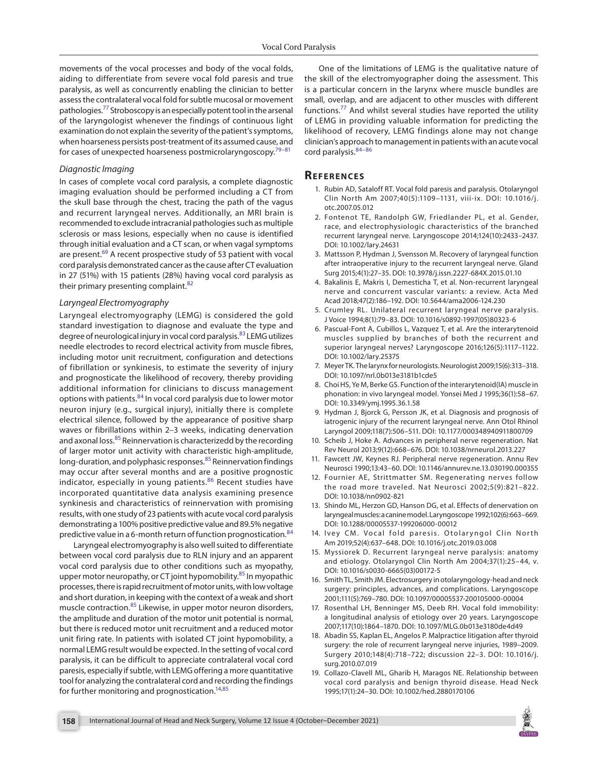movements of the vocal processes and body of the vocal folds, aiding to differentiate from severe vocal fold paresis and true paralysis, as well as concurrently enabling the clinician to better assess the contralateral vocal fold for subtle mucosal or movement pathologies.<sup>77</sup> Stroboscopy is an especially potent tool in the arsenal of the laryngologist whenever the findings of continuous light examination do not explain the severity of the patient's symptoms, when hoarseness persists post-treatment of its assumed cause, and for cases of unexpected hoarseness postmicrolaryngoscopy.[79](#page-7-18)–[81](#page-7-19)

## *Diagnostic Imaging*

In cases of complete vocal cord paralysis, a complete diagnostic imaging evaluation should be performed including a CT from the skull base through the chest, tracing the path of the vagus and recurrent laryngeal nerves. Additionally, an MRI brain is recommended to exclude intracranial pathologies such as multiple sclerosis or mass lesions, especially when no cause is identified through initial evaluation and a CT scan, or when vagal symptoms are present.<sup>69</sup> A recent prospective study of 53 patient with vocal cord paralysis demonstrated cancer as the cause after CT evaluation in 27 (51%) with 15 patients (28%) having vocal cord paralysis as their primary presenting complaint.<sup>[82](#page-7-20)</sup>

## *Laryngeal Electromyography*

Laryngeal electromyography (LEMG) is considered the gold standard investigation to diagnose and evaluate the type and degree of neurological injury in vocal cord paralysis.<sup>[83](#page-7-21)</sup> LEMG utilizes needle electrodes to record electrical activity from muscle fibres, including motor unit recruitment, configuration and detections of fibrillation or synkinesis, to estimate the severity of injury and prognosticate the likelihood of recovery, thereby providing additional information for clinicians to discuss management options with patients.[84](#page-7-16) In vocal cord paralysis due to lower motor neuron injury (e.g., surgical injury), initially there is complete electrical silence, followed by the appearance of positive sharp waves or fibrillations within 2–3 weeks, indicating denervation and axonal loss.<sup>[85](#page-7-22)</sup> Reinnervation is characterizedd by the recording of larger motor unit activity with characteristic high-amplitude, long-duration, and polyphasic responses.<sup>[85](#page-7-22)</sup> Reinnervation findings may occur after several months and are a positive prognostic indicator, especially in young patients.<sup>[86](#page-7-17)</sup> Recent studies have incorporated quantitative data analysis examining presence synkinesis and characteristics of reinnervation with promising results, with one study of 23 patients with acute vocal cord paralysis demonstrating a 100% positive predictive value and 89.5% negative predictive value in a 6-month return of function prognostication.<sup>[84](#page-7-16)</sup>

Laryngeal electromyography is also well suited to differentiate between vocal cord paralysis due to RLN injury and an apparent vocal cord paralysis due to other conditions such as myopathy, upper motor neuropathy, or CT joint hypomobility.<sup>[85](#page-7-22)</sup> In myopathic processes, there is rapid recruitment of motor units, with low voltage and short duration, in keeping with the context of a weak and short muscle contraction.<sup>85</sup> Likewise, in upper motor neuron disorders, the amplitude and duration of the motor unit potential is normal, but there is reduced motor unit recruitment and a reduced motor unit firing rate. In patients with isolated CT joint hypomobility, a normal LEMG result would be expected. In the setting of vocal cord paralysis, it can be difficult to appreciate contralateral vocal cord paresis, especially if subtle, with LEMG offering a more quantitative tool for analyzing the contralateral cord and recording the findings for further monitoring and prognostication.<sup>14,[85](#page-7-22)</sup>

One of the limitations of LEMG is the qualitative nature of the skill of the electromyographer doing the assessment. This is a particular concern in the larynx where muscle bundles are small, overlap, and are adjacent to other muscles with different functions[.77](#page-7-10) And whilst several studies have reported the utility of LEMG in providing valuable information for predicting the likelihood of recovery, LEMG findings alone may not change clinician's approach to management in patients with an acute vocal cord paralysis.[84](#page-7-16)–[86](#page-7-17)

## **Re f er enc es**

- <span id="page-5-20"></span><span id="page-5-19"></span><span id="page-5-2"></span>[1.](#page-0-0) Rubin AD, Sataloff RT. Vocal fold paresis and paralysis. Otolaryngol Clin North Am 2007;40(5):1109–1131, viii-ix. DOI: [10.1016/j.](https://doi.org/10.1016/j.otc.2007.05.012) [otc.2007.05.012](https://doi.org/10.1016/j.otc.2007.05.012)
- <span id="page-5-5"></span>[2.](#page-0-1) Fontenot TE, Randolph GW, Friedlander PL, et al. Gender, race, and electrophysiologic characteristics of the branched recurrent laryngeal nerve. Laryngoscope 2014;124(10):2433–2437. DOI: [10.1002/lary.24631](https://doi.org/10.1002/lary.24631)
- <span id="page-5-6"></span>[3.](#page-0-2) Mattsson P, Hydman J, Svensson M. Recovery of laryngeal function after intraoperative injury to the recurrent laryngeal nerve. Gland Surg 2015;4(1):27–35. DOI: [10.3978/j.issn.2227-684X.2015.01.10](https://doi.org/10.3978/j.issn.2227-684X.2015.01.10)
- <span id="page-5-21"></span><span id="page-5-7"></span>[4.](#page-0-3) Bakalinis E, Makris I, Demesticha T, et al. Non-recurrent laryngeal nerve and concurrent vascular variants: a review. Acta Med Acad 2018;47(2):186–192. DOI: [10.5644/ama2006-124.230](https://doi.org/10.5644/ama2006-124.230)
- <span id="page-5-3"></span>[5.](#page-0-4) Crumley RL. Unilateral recurrent laryngeal nerve paralysis. J Voice 1994;8(1):79–83. DOI: [10.1016/s0892-1997\(05\)80323-6](https://doi.org/10.1016/s0892-1997(05)80323-6)
- <span id="page-5-22"></span><span id="page-5-0"></span>[6.](#page-0-5) Pascual-Font A, Cubillos L, Vazquez T, et al. Are the interarytenoid muscles supplied by branches of both the recurrent and superior laryngeal nerves? Laryngoscope 2016;126(5):1117–1122. DOI: [10.1002/lary.25375](https://doi.org/10.1002/lary.25375)
- <span id="page-5-1"></span>[7.](#page-0-6) Meyer TK. The larynx for neurologists. Neurologist 2009;15(6):313–318. DOI: [10.1097/nrl.0b013e3181b1cde5](https://doi.org/10.1097/nrl.0b013e3181b1cde5)
- <span id="page-5-23"></span><span id="page-5-4"></span>[8.](#page-0-7) Choi HS, Ye M, Berke GS. Function of the interarytenoid(IA) muscle in phonation: in vivo laryngeal model. Yonsei Med J 1995;36(1):58–67. DOI: [10.3349/ymj.1995.36.1.58](https://doi.org/10.3349/ymj.1995.36.1.58)
- <span id="page-5-11"></span>[9.](#page-1-1) Hydman J, Bjorck G, Persson JK, et al. Diagnosis and prognosis of iatrogenic injury of the recurrent laryngeal nerve. Ann Otol Rhinol Laryngol 2009;118(7):506–511. DOI: [10.1177/000348940911800709](https://doi.org/10.1177/000348940911800709)
- <span id="page-5-24"></span><span id="page-5-12"></span>[10.](#page-1-2) Scheib J, Hoke A. Advances in peripheral nerve regeneration. Nat Rev Neurol 2013;9(12):668–676. DOI: [10.1038/nrneurol.2013.227](https://doi.org/10.1038/nrneurol.2013.227)
- <span id="page-5-13"></span>[11.](#page-1-3) Fawcett JW, Keynes RJ. Peripheral nerve regeneration. Annu Rev Neurosci 1990;13:43–60. DOI: [10.1146/annurev.ne.13.030190.000355](https://doi.org/10.1146/annurev.ne.13.030190.000355)
- <span id="page-5-25"></span><span id="page-5-8"></span>[12.](#page-1-4) Fournier AE, Strittmatter SM. Regenerating nerves follow the road more traveled. Nat Neurosci 2002;5(9):821–822. DOI: [10.1038/nn0902-821](https://doi.org/10.1038/nn0902-821)
- <span id="page-5-9"></span>[13.](#page-1-5) Shindo ML, Herzon GD, Hanson DG, et al. Effects of denervation on laryngeal muscles: a canine model. Laryngoscope 1992;102(6):663–669. DOI: [10.1288/00005537-199206000-00012](https://doi.org/10.1288/00005537-199206000-00012)
- <span id="page-5-10"></span>[14.](#page-1-6) Ivey CM. Vocal fold paresis. Otolaryngol Clin North Am 2019;52(4):637–648. DOI: [10.1016/j.otc.2019.03.008](https://doi.org/10.1016/j.otc.2019.03.008)
- <span id="page-5-14"></span>[15.](#page-2-1) Myssiorek D. Recurrent laryngeal nerve paralysis: anatomy and etiology. Otolaryngol Clin North Am 2004;37(1):25–44, v. DOI: [10.1016/s0030-6665\(03\)00172-5](https://doi.org/10.1016/s0030-6665(03)00172-5)
- <span id="page-5-15"></span>[16.](#page-2-2) Smith TL, Smith JM. Electrosurgery in otolaryngology-head and neck surgery: principles, advances, and complications. Laryngoscope 2001;111(5):769–780. DOI: [10.1097/00005537-200105000-00004](https://doi.org/10.1097/00005537-200105000-00004)
- <span id="page-5-16"></span>[17.](#page-2-3) Rosenthal LH, Benninger MS, Deeb RH. Vocal fold immobility: a longitudinal analysis of etiology over 20 years. Laryngoscope 2007;117(10):1864–1870. DOI: 10.1097/MLG.0b013e3180de4d49
- <span id="page-5-17"></span>[18.](#page-2-4) Abadin SS, Kaplan EL, Angelos P. Malpractice litigation after thyroid surgery: the role of recurrent laryngeal nerve injuries, 1989–2009. Surgery 2010;148(4):718–722; discussion 22–3. DOI: [10.1016/j.](https://doi.org/10.1016/j.surg.2010.07.019) [surg.2010.07.019](https://doi.org/10.1016/j.surg.2010.07.019)
- <span id="page-5-18"></span>[19.](#page-2-5) Collazo-Clavell ML, Gharib H, Maragos NE. Relationship between vocal cord paralysis and benign thyroid disease. Head Neck 1995;17(1):24–30. DOI: [10.1002/hed.2880170106](https://doi.org/10.1002/hed.2880170106)

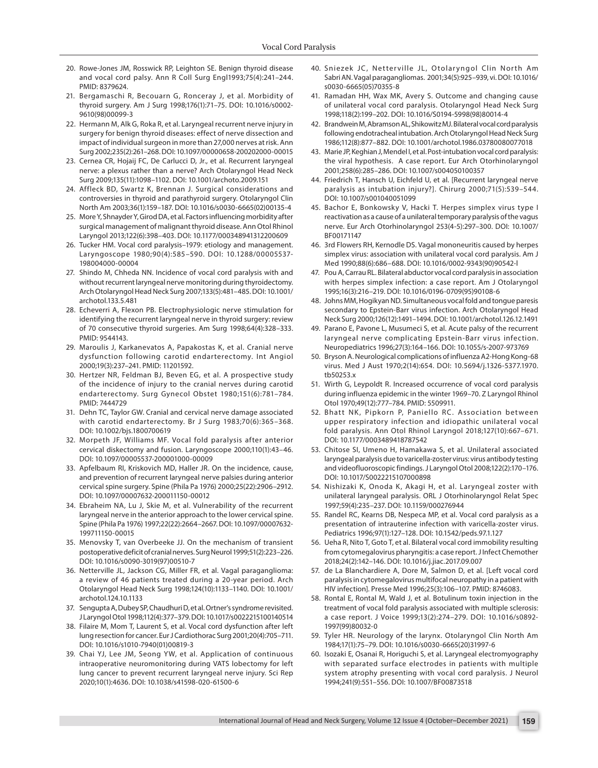- <span id="page-6-11"></span>[20.](#page-2-11) Rowe-Jones JM, Rosswick RP, Leighton SE. Benign thyroid disease and vocal cord palsy. Ann R Coll Surg Engl1993;75(4):241–244. PMID: 8379624.
- <span id="page-6-12"></span>[21.](#page-2-12) Bergamaschi R, Becouarn G, Ronceray J, et al. Morbidity of thyroid surgery. Am J Surg 1998;176(1):71–75. DOI: [10.1016/s0002-](https://doi.org/10.1016/s0002-9610(98)00099-3) [9610\(98\)00099-3](https://doi.org/10.1016/s0002-9610(98)00099-3)
- <span id="page-6-13"></span>[22.](#page-2-13) Hermann M, Alk G, Roka R, et al. Laryngeal recurrent nerve injury in surgery for benign thyroid diseases: effect of nerve dissection and impact of individual surgeon in more than 27,000 nerves at risk. Ann Surg 2002;235(2):261–268. DOI: [10.1097/00000658-200202000-00015](https://doi.org/10.1097/00000658-200202000-00015)
- <span id="page-6-14"></span>[23.](#page-2-14) Cernea CR, Hojaij FC, De Carlucci D, Jr., et al. Recurrent laryngeal nerve: a plexus rather than a nerve? Arch Otolaryngol Head Neck Surg 2009;135(11):1098–1102. DOI: [10.1001/archoto.2009.151](https://doi.org/10.1001/archoto.2009.151)
- 24. Affleck BD, Swartz K, Brennan J. Surgical considerations and controversies in thyroid and parathyroid surgery. Otolaryngol Clin North Am 2003;36(1):159–187. DOI: [10.1016/s0030-6665\(02\)00135-4](https://doi.org/10.1016/s0030-6665(02)00135-4)
- <span id="page-6-15"></span>[25.](#page-2-15) More Y, Shnayder Y, Girod DA, et al. Factors influencing morbidity after surgical management of malignant thyroid disease. Ann Otol Rhinol Laryngol 2013;122(6):398–403. DOI: [10.1177/000348941312200609](https://doi.org/10.1177/000348941312200609)
- <span id="page-6-16"></span>[26.](#page-2-16) Tucker HM. Vocal cord paralysis–1979: etiology and management. Laryngoscope 1980;90(4):585–590. DOI: [10.1288/00005537-](https://doi.org/10.1288/00005537-198004000-00004) [198004000-00004](https://doi.org/10.1288/00005537-198004000-00004)
- <span id="page-6-17"></span>[27.](#page-2-17) Shindo M, Chheda NN. Incidence of vocal cord paralysis with and without recurrent laryngeal nerve monitoring during thyroidectomy. Arch Otolaryngol Head Neck Surg 2007;133(5):481–485. DOI: [10.1001/](https://doi.org/10.1001/archotol.133.5.481) [archotol.133.5.481](https://doi.org/10.1001/archotol.133.5.481)
- <span id="page-6-18"></span>[28.](#page-2-18) Echeverri A, Flexon PB. Electrophysiologic nerve stimulation for identifying the recurrent laryngeal nerve in thyroid surgery: review of 70 consecutive thyroid surgeries. Am Surg 1998;64(4):328–333. PMID: 9544143.
- <span id="page-6-19"></span>[29.](#page-2-19) Maroulis J, Karkanevatos A, Papakostas K, et al. Cranial nerve dysfunction following carotid endarterectomy. Int Angiol 2000;19(3):237–241. PMID: 11201592.
- <span id="page-6-20"></span>[30.](#page-2-20) Hertzer NR, Feldman BJ, Beven EG, et al. A prospective study of the incidence of injury to the cranial nerves during carotid endarterectomy. Surg Gynecol Obstet 1980;151(6):781–784. PMID: 7444729
- <span id="page-6-21"></span>[31.](#page-2-21) Dehn TC, Taylor GW. Cranial and cervical nerve damage associated with carotid endarterectomy. Br J Surg 1983;70(6):365–368. DOI: [10.1002/bjs.1800700619](https://doi.org/10.1002/bjs.1800700619)
- <span id="page-6-0"></span>[32.](#page-2-22) Morpeth JF, Williams MF. Vocal fold paralysis after anterior cervical diskectomy and fusion. Laryngoscope 2000;110(1):43–46. DOI: [10.1097/00005537-200001000-00009](https://doi.org/10.1097/00005537-200001000-00009)
- <span id="page-6-22"></span>[33.](#page-2-23) Apfelbaum RI, Kriskovich MD, Haller JR. On the incidence, cause, and prevention of recurrent laryngeal nerve palsies during anterior cervical spine surgery. Spine (Phila Pa 1976) 2000;25(22):2906–2912. DOI: [10.1097/00007632-200011150-00012](https://doi.org/10.1097/00007632-200011150-00012)
- <span id="page-6-23"></span>[34.](#page-2-24) Ebraheim NA, Lu J, Skie M, et al. Vulnerability of the recurrent laryngeal nerve in the anterior approach to the lower cervical spine. Spine (Phila Pa 1976) 1997;22(22):2664–2667. DOI: [10.1097/00007632-](https://doi.org/10.1097/00007632-199711150-00015) [199711150-00015](https://doi.org/10.1097/00007632-199711150-00015)
- <span id="page-6-1"></span>[35.](#page-2-25) Menovsky T, van Overbeeke JJ. On the mechanism of transient postoperative deficit of cranial nerves. Surg Neurol 1999;51(2):223–226. DOI: [10.1016/s0090-3019\(97\)00510-7](https://doi.org/10.1016/s0090-3019(97)00510-7)
- <span id="page-6-2"></span>[36.](#page-2-26) Netterville JL, Jackson CG, Miller FR, et al. Vagal paraganglioma: a review of 46 patients treated during a 20-year period. Arch Otolaryngol Head Neck Surg 1998;124(10):1133–1140. DOI: [10.1001/](https://doi.org/10.1001/archotol.124.10.1133) [archotol.124.10.1133](https://doi.org/10.1001/archotol.124.10.1133)
- <span id="page-6-3"></span>[37.](#page-2-27) Sengupta A, Dubey SP, Chaudhuri D, et al. Ortner's syndrome revisited. J Laryngol Otol 1998;112(4):377–379. DOI: [10.1017/s0022215100140514](https://doi.org/10.1017/s0022215100140514)
- <span id="page-6-4"></span>[38.](#page-2-28) Filaire M, Mom T, Laurent S, et al. Vocal cord dysfunction after left lung resection for cancer. Eur J Cardiothorac Surg 2001;20(4):705–711. DOI: [10.1016/s1010-7940\(01\)00819-3](https://doi.org/10.1016/s1010-7940(01)00819-3)
- <span id="page-6-5"></span>[39.](#page-2-29) Chai YJ, Lee JM, Seong YW, et al. Application of continuous intraoperative neuromonitoring during VATS lobectomy for left lung cancer to prevent recurrent laryngeal nerve injury. Sci Rep 2020;10(1):4636. DOI: [10.1038/s41598-020-61500-6](https://doi.org/10.1038/s41598-020-61500-6)
- <span id="page-6-6"></span>[40.](#page-2-6) Sniezek JC, Netterville JL, Otolaryngol Clin North Am Sabri AN. Vagal paragangliomas. 2001;34(5):925–939, vi. DOI: [10.1016/](https://doi.org/10.1016/s0030-6665(05)70355-8) [s0030-6665\(05\)70355-8](https://doi.org/10.1016/s0030-6665(05)70355-8)
- <span id="page-6-7"></span>[41.](#page-2-7) Ramadan HH, Wax MK, Avery S. Outcome and changing cause of unilateral vocal cord paralysis. Otolaryngol Head Neck Surg 1998;118(2):199–202. DOI: [10.1016/S0194-5998\(98\)80014-4](https://doi.org/10.1016/S0194-5998(98)80014-4)
- <span id="page-6-8"></span>[42.](#page-2-8) Brandwein M, Abramson AL, Shikowitz MJ. Bilateral vocal cord paralysis following endotracheal intubation. Arch Otolaryngol Head Neck Surg 1986;112(8):877–882. DOI: [10.1001/archotol.1986.03780080077018](https://doi.org/10.1001/archotol.1986.03780080077018)
- <span id="page-6-9"></span>[43.](#page-2-9) Marie JP, Keghian J, Mendel I, et al. Post-intubation vocal cord paralysis: the viral hypothesis. A case report. Eur Arch Otorhinolaryngol 2001;258(6):285–286. DOI: [10.1007/s004050100357](https://doi.org/10.1007/s004050100357)
- <span id="page-6-10"></span>[44.](#page-2-10) Friedrich T, Hansch U, Eichfeld U, et al. [Recurrent laryngeal nerve paralysis as intubation injury?]. Chirurg 2000;71(5):539–544. DOI: [10.1007/s001040051099](https://doi.org/10.1007/s001040051099)
- <span id="page-6-24"></span>[45.](#page-3-0) Bachor E, Bonkowsky V, Hacki T. Herpes simplex virus type I reactivation as a cause of a unilateral temporary paralysis of the vagus nerve. Eur Arch Otorhinolaryngol 253(4-5):297–300. DOI: [10.1007/](https://doi.org/10.1007/BF00171147) [BF00171147](https://doi.org/10.1007/BF00171147)
- <span id="page-6-34"></span>[46.](#page-3-1) 3rd Flowers RH, Kernodle DS. Vagal mononeuritis caused by herpes simplex virus: association with unilateral vocal cord paralysis. Am J Med 1990;88(6):686–688. DOI: [10.1016/0002-9343\(90\)90542-l](https://doi.org/10.1016/0002-9343(90)90542-l)
- <span id="page-6-25"></span>[47.](#page-3-2) Pou A, Carrau RL. Bilateral abductor vocal cord paralysis in association with herpes simplex infection: a case report. Am J Otolaryngol 1995;16(3):216–219. DOI: [10.1016/0196-0709\(95\)90108-6](https://doi.org/10.1016/0196-0709(95)90108-6)
- <span id="page-6-26"></span>[48.](#page-3-3) Johns MM, Hogikyan ND. Simultaneous vocal fold and tongue paresis secondary to Epstein-Barr virus infection. Arch Otolaryngol Head Neck Surg 2000;126(12):1491–1494. DOI: [10.1001/archotol.126.12.1491](https://doi.org/10.1001/archotol.126.12.1491)
- <span id="page-6-27"></span>[49.](#page-3-4) Parano E, Pavone L, Musumeci S, et al. Acute palsy of the recurrent laryngeal nerve complicating Epstein-Barr virus infection. Neuropediatrics 1996;27(3):164–166. DOI: [10.1055/s-2007-973769](https://doi.org/10.1055/s-2007-973769)
- <span id="page-6-28"></span>[50.](#page-3-5) Bryson A. Neurological complications of influenza A2-Hong Kong-68 virus. Med J Aust 1970;2(14):654. DOI: [10.5694/j.1326-5377.1970.](https://doi.org/10.5694/j.1326-5377.1970.tb50253.x) [tb50253.x](https://doi.org/10.5694/j.1326-5377.1970.tb50253.x)
- 51. Wirth G, Leypoldt R. Increased occurrence of vocal cord paralysis during influenza epidemic in the winter 1969–70. Z Laryngol Rhinol Otol 1970;49(12):777–784. PMID: 5509911.
- <span id="page-6-29"></span>[52.](#page-3-6) Bhatt NK, Pipkorn P, Paniello RC. Association between upper respiratory infection and idiopathic unilateral vocal fold paralysis. Ann Otol Rhinol Laryngol 2018;127(10):667–671. DOI: [10.1177/0003489418787542](https://doi.org/10.1177/0003489418787542)
- <span id="page-6-30"></span>[53.](#page-3-7) Chitose SI, Umeno H, Hamakawa S, et al. Unilateral associated laryngeal paralysis due to varicella-zoster virus: virus antibody testing and videofluoroscopic findings. J Laryngol Otol 2008;122(2):170–176. DOI: [10.1017/S0022215107000898](https://doi.org/10.1017/S0022215107000898)
- 54. Nishizaki K, Onoda K, Akagi H, et al. Laryngeal zoster with unilateral laryngeal paralysis. ORL J Otorhinolaryngol Relat Spec 1997;59(4):235–237. DOI: [10.1159/000276944](https://doi.org/10.1159/000276944)
- <span id="page-6-31"></span>[55.](#page-3-8) Randel RC, Kearns DB, Nespeca MP, et al. Vocal cord paralysis as a presentation of intrauterine infection with varicella-zoster virus. Pediatrics 1996;97(1):127–128. DOI: [10.1542/peds.97.1.127](https://doi.org/10.1542/peds.97.1.127)
- <span id="page-6-32"></span>[56.](#page-3-9) Ueha R, Nito T, Goto T, et al. Bilateral vocal cord immobility resulting from cytomegalovirus pharyngitis: a case report. J Infect Chemother 2018;24(2):142–146. DOI: [10.1016/j.jiac.2017.09.007](https://doi.org/10.1016/j.jiac.2017.09.007)
- <span id="page-6-33"></span>[57.](#page-3-10) de La Blanchardiere A, Dore M, Salmon D, et al. [Left vocal cord paralysis in cytomegalovirus multifocal neuropathy in a patient with HIV infection]. Presse Med 1996;25(3):106–107. PMID: 8746083.
- <span id="page-6-35"></span>[58.](#page-3-11) Rontal E, Rontal M, Wald J, et al. Botulinum toxin injection in the treatment of vocal fold paralysis associated with multiple sclerosis: a case report. J Voice 1999;13(2):274–279. DOI: [10.1016/s0892-](https://doi.org/10.1016/s0892-1997(99)80032-0) [1997\(99\)80032-0](https://doi.org/10.1016/s0892-1997(99)80032-0)
- 59. Tyler HR. Neurology of the larynx. Otolaryngol Clin North Am 1984;17(1):75–79. DOI: [10.1016/s0030-6665\(20\)31997-6](https://doi.org/10.1016/s0030-6665(20)31997-6)
- 60. Isozaki E, Osanai R, Horiguchi S, et al. Laryngeal electromyography with separated surface electrodes in patients with multiple system atrophy presenting with vocal cord paralysis. J Neurol 1994;241(9):551–556. DOI: [10.1007/BF00873518](https://doi.org/10.1007/BF00873518)